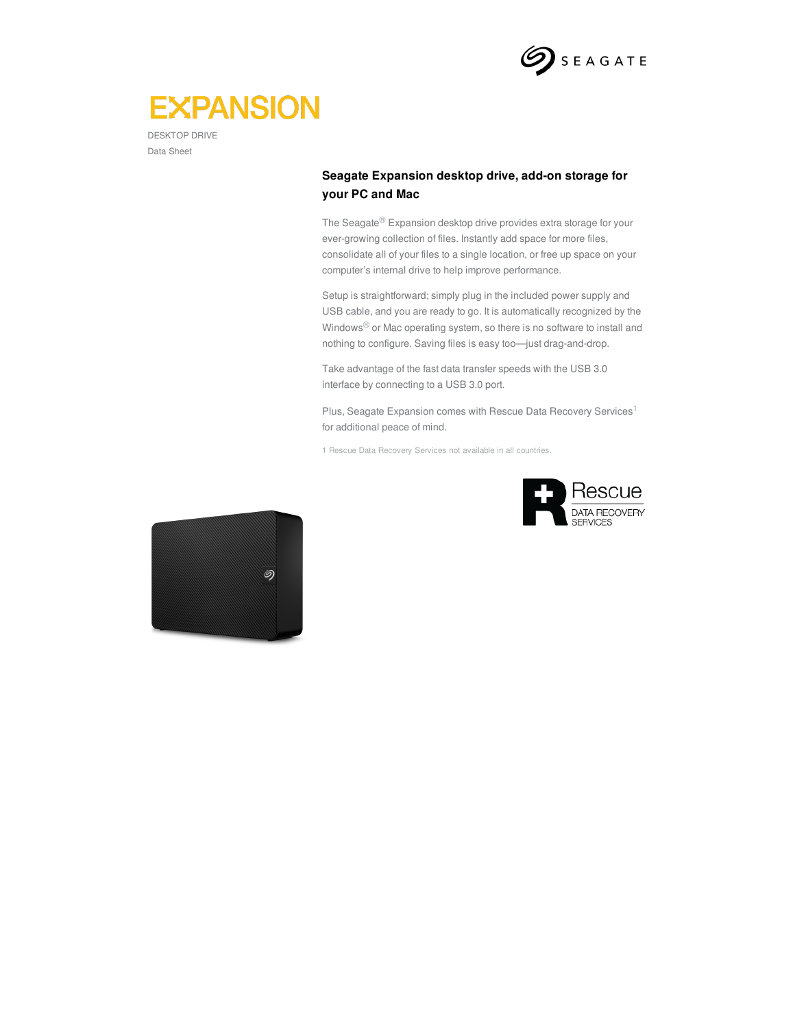

# **EXPANSION**

DESKTOP DRIVE Data Sheet

## **Seagate Expansion desktop drive, add-on storage for your PC and Mac**

The Seagate<sup>®</sup> Expansion desktop drive provides extra storage for your ever-growing collection of files. Instantly add space for more files, consolidate all of your files to a single location, or free up space on your computer's internal drive to help improve performance.

Setup is straightforward; simply plug in the included power supply and USB cable, and you are ready to go. It is automatically recognized by the Windows® or Mac operating system, so there is no software to install and nothing to configure. Saving files is easy too—just drag-and-drop.

Take advantage of the fast data transfer speeds with the USB 3.0 interface by connecting to a USB 3.0 port.

Plus, Seagate Expansion comes with Rescue Data Recovery Services<sup>1</sup> for additional peace of mind.

1 Rescue Data Recovery Services not available in all countries.